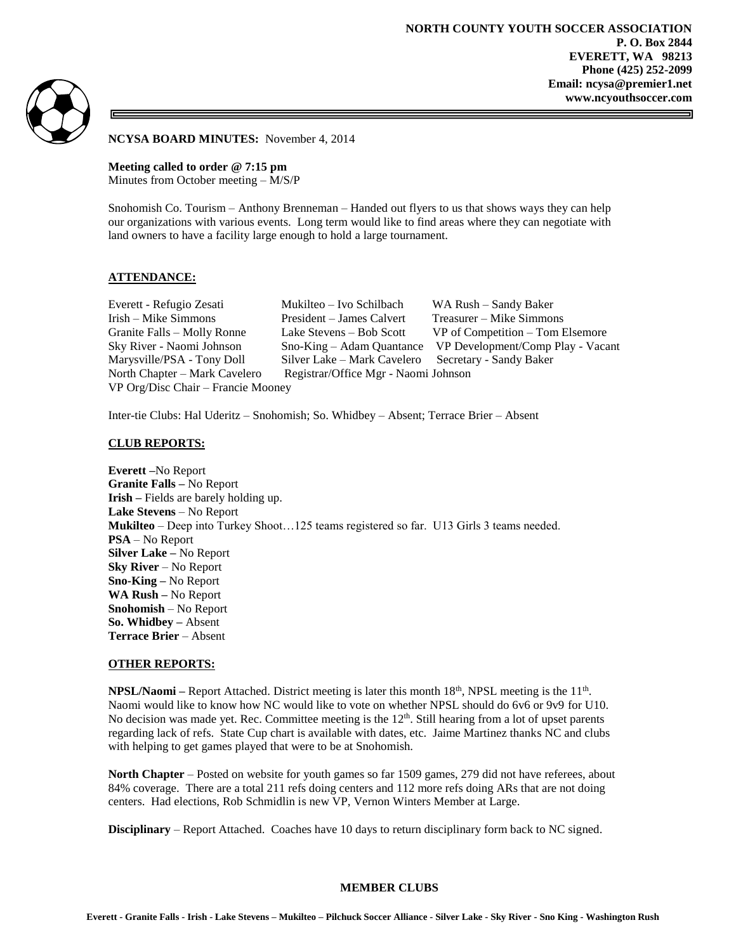

**NCYSA BOARD MINUTES:** November 4, 2014

**Meeting called to order @ 7:15 pm** Minutes from October meeting – M/S/P

Snohomish Co. Tourism – Anthony Brenneman – Handed out flyers to us that shows ways they can help our organizations with various events. Long term would like to find areas where they can negotiate with land owners to have a facility large enough to hold a large tournament.

# **ATTENDANCE:**

Irish – Mike Simmons President – James Calvert Treasurer – Mike Simmons Marysville/PSA - Tony Doll Silver Lake – Mark Cavelero Secretary - Sandy Baker North Chapter – Mark Cavelero Registrar/Office Mgr - Naomi Johnson VP Org/Disc Chair – Francie Mooney

Everett - Refugio Zesati Mukilteo – Ivo Schilbach WA Rush – Sandy Baker Granite Falls – Molly Ronne Lake Stevens – Bob Scott VP of Competition – Tom Elsemore Sky River - Naomi Johnson Sno-King – Adam Quantance VP Development/Comp Play - Vacant

Inter-tie Clubs: Hal Uderitz – Snohomish; So. Whidbey – Absent; Terrace Brier – Absent

#### **CLUB REPORTS:**

**Everett –**No Report **Granite Falls –** No Report **Irish –** Fields are barely holding up. **Lake Stevens** – No Report **Mukilteo** – Deep into Turkey Shoot…125 teams registered so far. U13 Girls 3 teams needed. **PSA** – No Report **Silver Lake –** No Report **Sky River** – No Report **Sno-King –** No Report **WA Rush –** No Report **Snohomish** – No Report **So. Whidbey –** Absent **Terrace Brier** – Absent

#### **OTHER REPORTS:**

**NPSL/Naomi** – Report Attached. District meeting is later this month 18<sup>th</sup>, NPSL meeting is the 11<sup>th</sup>. Naomi would like to know how NC would like to vote on whether NPSL should do 6v6 or 9v9 for U10. No decision was made yet. Rec. Committee meeting is the  $12<sup>th</sup>$ . Still hearing from a lot of upset parents regarding lack of refs. State Cup chart is available with dates, etc. Jaime Martinez thanks NC and clubs with helping to get games played that were to be at Snohomish.

**North Chapter** – Posted on website for youth games so far 1509 games, 279 did not have referees, about 84% coverage. There are a total 211 refs doing centers and 112 more refs doing ARs that are not doing centers. Had elections, Rob Schmidlin is new VP, Vernon Winters Member at Large.

**Disciplinary** – Report Attached. Coaches have 10 days to return disciplinary form back to NC signed.

#### **MEMBER CLUBS**